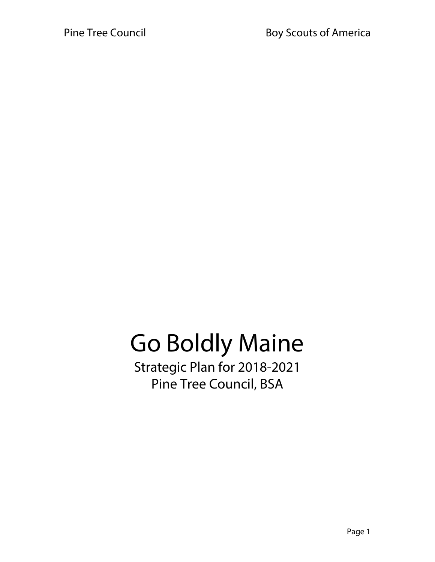# Go Boldly Maine

Strategic Plan for 2018-2021 Pine Tree Council, BSA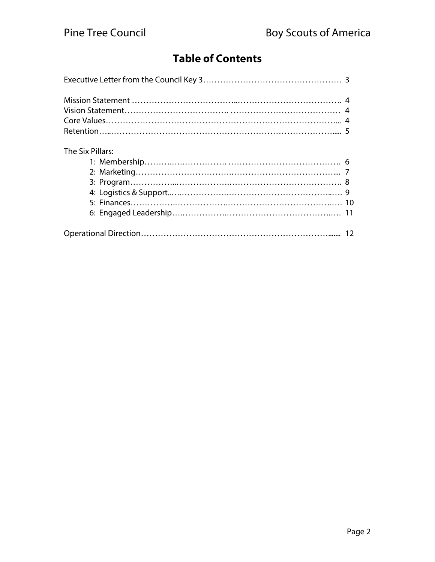# **Table of Contents**

| The Six Pillars: |  |
|------------------|--|
|                  |  |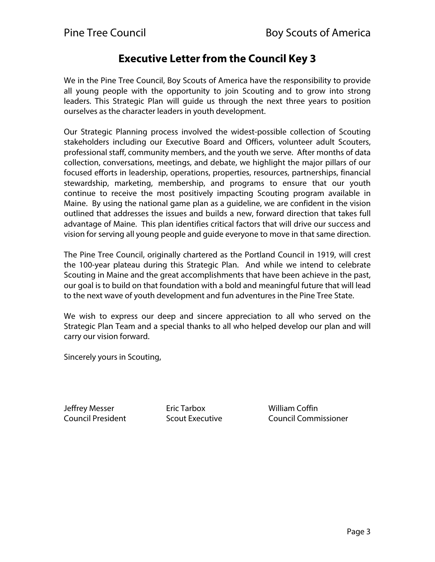### **Executive Letter from the Council Key 3**

We in the Pine Tree Council, Boy Scouts of America have the responsibility to provide all young people with the opportunity to join Scouting and to grow into strong leaders. This Strategic Plan will guide us through the next three years to position ourselves as the character leaders in youth development.

Our Strategic Planning process involved the widest-possible collection of Scouting stakeholders including our Executive Board and Officers, volunteer adult Scouters, professional staff, community members, and the youth we serve. After months of data collection, conversations, meetings, and debate, we highlight the major pillars of our focused efforts in leadership, operations, properties, resources, partnerships, financial stewardship, marketing, membership, and programs to ensure that our youth continue to receive the most positively impacting Scouting program available in Maine. By using the national game plan as a guideline, we are confident in the vision outlined that addresses the issues and builds a new, forward direction that takes full advantage of Maine. This plan identifies critical factors that will drive our success and vision for serving all young people and guide everyone to move in that same direction.

The Pine Tree Council, originally chartered as the Portland Council in 1919, will crest the 100-year plateau during this Strategic Plan. And while we intend to celebrate Scouting in Maine and the great accomplishments that have been achieve in the past, our goal is to build on that foundation with a bold and meaningful future that will lead to the next wave of youth development and fun adventures in the Pine Tree State.

We wish to express our deep and sincere appreciation to all who served on the Strategic Plan Team and a special thanks to all who helped develop our plan and will carry our vision forward.

Sincerely yours in Scouting,

Jeffrey Messer Eric Tarbox William Coffin

Council President Scout Executive Council Commissioner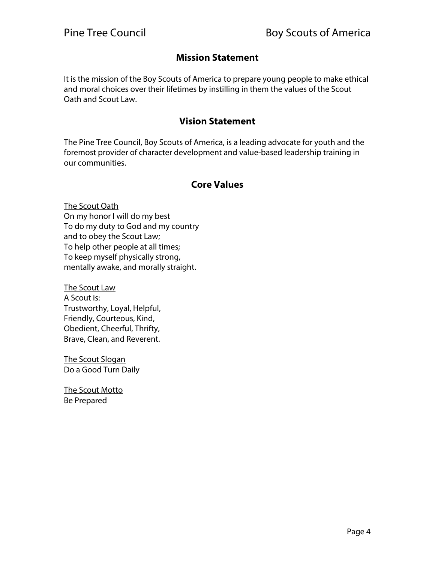#### **Mission Statement**

It is the mission of the Boy Scouts of America to prepare young people to make ethical and moral choices over their lifetimes by instilling in them the values of the Scout Oath and Scout Law.

#### **Vision Statement**

The Pine Tree Council, Boy Scouts of America, is a leading advocate for youth and the foremost provider of character development and value-based leadership training in our communities.

#### **Core Values**

The Scout Oath On my honor I will do my best To do my duty to God and my country and to obey the Scout Law; To help other people at all times; To keep myself physically strong, mentally awake, and morally straight.

The Scout Law A Scout is: Trustworthy, Loyal, Helpful, Friendly, Courteous, Kind, Obedient, Cheerful, Thrifty, Brave, Clean, and Reverent.

The Scout Slogan Do a Good Turn Daily

The Scout Motto Be Prepared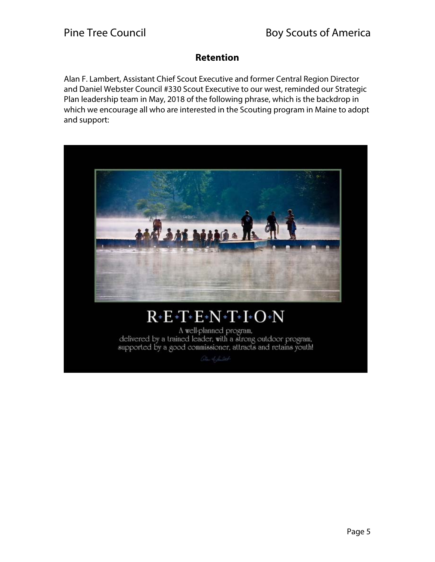#### **Retention**

Alan F. Lambert, Assistant Chief Scout Executive and former Central Region Director and Daniel Webster Council #330 Scout Executive to our west, reminded our Strategic Plan leadership team in May, 2018 of the following phrase, which is the backdrop in which we encourage all who are interested in the Scouting program in Maine to adopt and support:



# $R$  +  $E$  +  $T$  +  $E$  +  $N$  +  $T$  +  $I$  +  $O$  +  $N$

A well-planned program, delivered by a trained leader, with a strong outdoor program, supported by a good commissioner, attracts and retains youth!

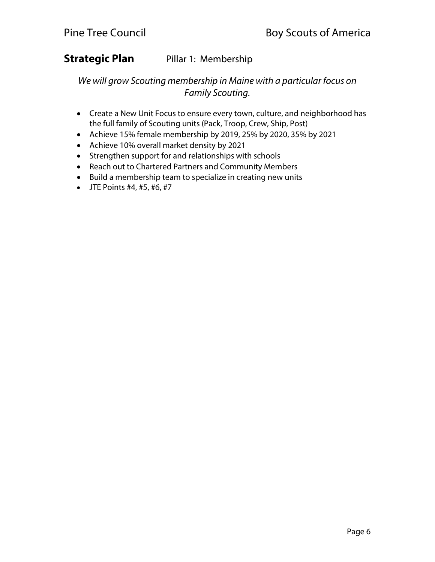#### **Strategic Plan** Pillar 1: Membership

We will grow Scouting membership in Maine with a particular focus on Family Scouting.

- Create a New Unit Focus to ensure every town, culture, and neighborhood has the full family of Scouting units (Pack, Troop, Crew, Ship, Post)
- Achieve 15% female membership by 2019, 25% by 2020, 35% by 2021
- Achieve 10% overall market density by 2021
- Strengthen support for and relationships with schools
- Reach out to Chartered Partners and Community Members
- Build a membership team to specialize in creating new units
- $\bullet$  JTE Points #4, #5, #6, #7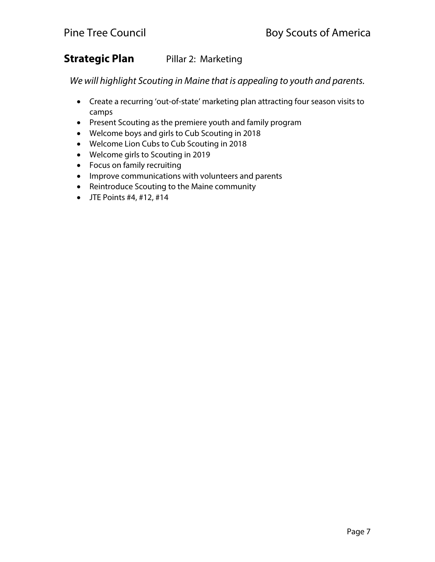### **Strategic Plan** Pillar 2: Marketing

We will highlight Scouting in Maine that is appealing to youth and parents.

- Create a recurring 'out-of-state' marketing plan attracting four season visits to camps
- Present Scouting as the premiere youth and family program
- Welcome boys and girls to Cub Scouting in 2018
- Welcome Lion Cubs to Cub Scouting in 2018
- Welcome girls to Scouting in 2019
- Focus on family recruiting
- Improve communications with volunteers and parents
- Reintroduce Scouting to the Maine community
- $\bullet$  JTE Points #4, #12, #14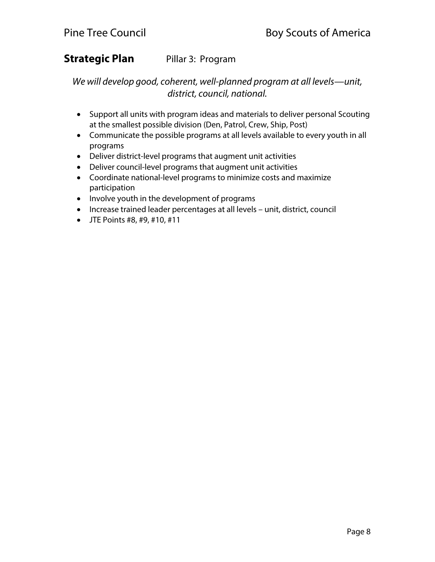# **Strategic Plan** Pillar 3: Program

We will develop good, coherent, well-planned program at all levels—unit, district, council, national.

- Support all units with program ideas and materials to deliver personal Scouting at the smallest possible division (Den, Patrol, Crew, Ship, Post)
- Communicate the possible programs at all levels available to every youth in all programs
- Deliver district-level programs that augment unit activities
- Deliver council-level programs that augment unit activities
- Coordinate national-level programs to minimize costs and maximize participation
- Involve youth in the development of programs
- Increase trained leader percentages at all levels unit, district, council
- JTE Points #8, #9, #10, #11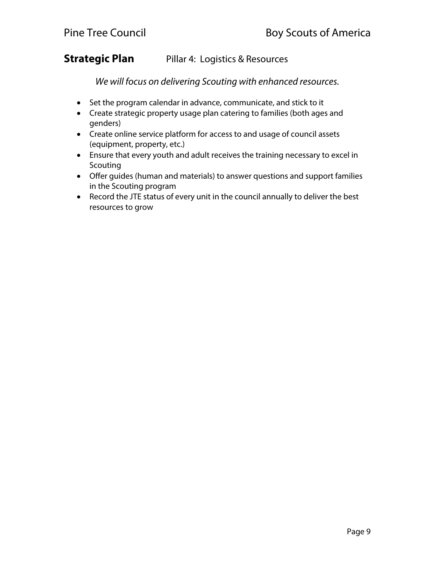#### **Strategic Plan** Pillar 4: Logistics & Resources

We will focus on delivering Scouting with enhanced resources.

- Set the program calendar in advance, communicate, and stick to it
- Create strategic property usage plan catering to families (both ages and genders)
- Create online service platform for access to and usage of council assets (equipment, property, etc.)
- Ensure that every youth and adult receives the training necessary to excel in Scouting
- Offer guides (human and materials) to answer questions and support families in the Scouting program
- Record the JTE status of every unit in the council annually to deliver the best resources to grow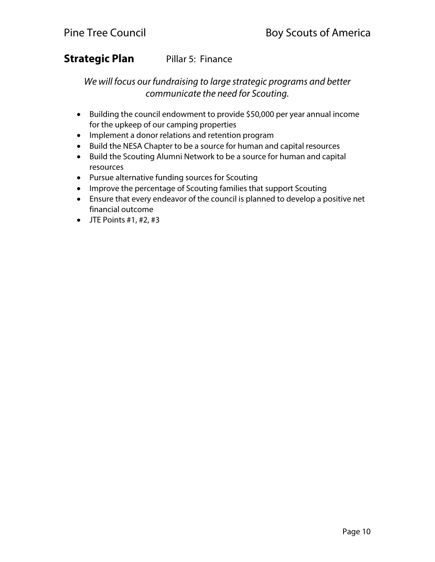# **Strategic Plan** Pillar 5: Finance

We will focus our fundraising to large strategic programs and better communicate the need for Scouting.

- Building the council endowment to provide \$50,000 per year annual income for the upkeep of our camping properties
- Implement a donor relations and retention program
- Build the NESA Chapter to be a source for human and capital resources
- Build the Scouting Alumni Network to be a source for human and capital resources
- Pursue alternative funding sources for Scouting
- Improve the percentage of Scouting families that support Scouting
- Ensure that every endeavor of the council is planned to develop a positive net financial outcome
- $\bullet$  JTE Points #1, #2, #3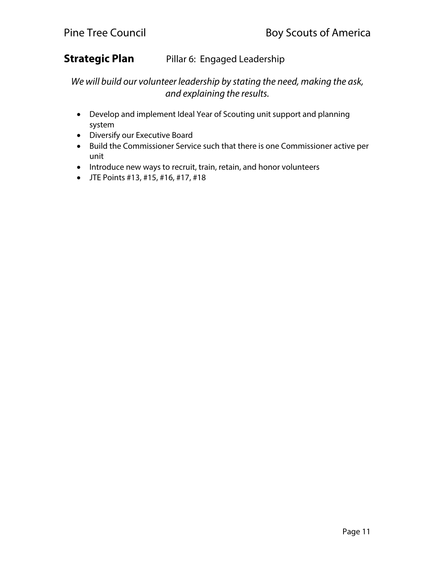# **Strategic Plan** Pillar 6: Engaged Leadership

We will build our volunteer leadership by stating the need, making the ask, and explaining the results.

- Develop and implement Ideal Year of Scouting unit support and planning system
- Diversify our Executive Board
- Build the Commissioner Service such that there is one Commissioner active per unit
- Introduce new ways to recruit, train, retain, and honor volunteers
- JTE Points #13, #15, #16, #17, #18